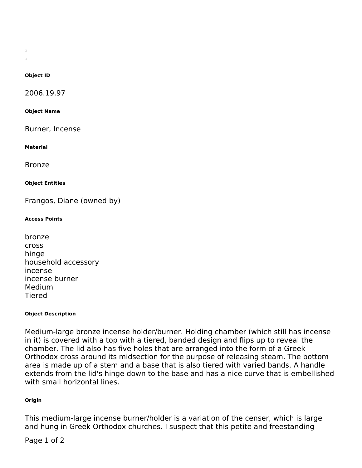$\Box$  $\Box$ 

#### **Object ID**

2006.19.97

**Object Name**

Burner, Incense

**Material**

Bronze

#### **Object Entities**

Frangos, Diane (owned by)

### **Access Points**

| bronze              |
|---------------------|
| <b>Cross</b>        |
| hinge               |
| household accessory |
| incense             |
| incense burner      |
| Medium              |
| <b>Tiered</b>       |

#### **Object Description**

Medium-large bronze incense holder/burner. Holding chamber (which still has incense in it) is covered with a top with a tiered, banded design and flips up to reveal the chamber. The lid also has five holes that are arranged into the form of a Greek Orthodox cross around its midsection for the purpose of releasing steam. The bottom area is made up of a stem and a base that is also tiered with varied bands. A handle extends from the lid's hinge down to the base and has a nice curve that is embellished with small horizontal lines.

### **Origin**

This medium-large incense burner/holder is a variation of the censer, which is large and hung in Greek Orthodox churches. I suspect that this petite and freestanding

# Page 1 of 2